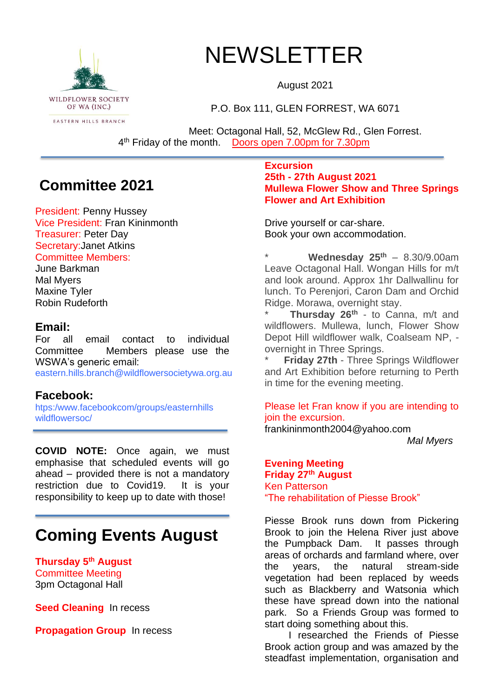

# NEWSLETTER

August 2021

P.O. Box 111, GLEN FORREST, WA 6071

Meet: Octagonal Hall, 52, McGlew Rd., Glen Forrest. 4<sup>th</sup> Friday of the month. Doors open 7.00pm for 7.30pm

### **Committee 2021**

President: Penny Hussey Vice President: Fran Kininmonth Treasurer: Peter Day Secretary:Janet Atkins Committee Members:

June Barkman Mal Myers Maxine Tyler Robin Rudeforth

#### **Email:**

For all email contact to individual Committee Members please use the WSWA's generic email:

eastern.hills.branch@wildflowersocietywa.org.au

#### **Facebook:**

htps:/www.facebookcom/groups/easternhills wildflowersoc/

**COVID NOTE:** Once again, we must emphasise that scheduled events will go ahead – provided there is not a mandatory restriction due to Covid19. It is your responsibility to keep up to date with those!

## **Coming Events August**

**Thursday 5 th August** Committee Meeting 3pm Octagonal Hall

**Seed Cleaning** In recess

**Propagation Group** In recess

#### **Excursion 25th - 27th August 2021 Mullewa Flower Show and Three Springs Flower and Art Exhibition**

Drive yourself or car-share. Book your own accommodation.

\* **Wednesday 25th** – 8.30/9.00am Leave Octagonal Hall. Wongan Hills for m/t and look around. Approx 1hr Dallwallinu for lunch. To Perenjori, Caron Dam and Orchid Ridge. Morawa, overnight stay.

\* **Thursday 26th** - to Canna, m/t and wildflowers. Mullewa, lunch, Flower Show Depot Hill wildflower walk, Coalseam NP, overnight in Three Springs.

**Friday 27th - Three Springs Wildflower** and Art Exhibition before returning to Perth in time for the evening meeting.

Please let Fran know if you are intending to join the excursion.

frankininmonth2004@yahoo.com

*Mal Myers*

#### **Evening Meeting Friday 27th August** Ken Patterson "The rehabilitation of Piesse Brook"

Piesse Brook runs down from Pickering Brook to join the Helena River just above the Pumpback Dam. It passes through areas of orchards and farmland where, over the years, the natural stream-side vegetation had been replaced by weeds such as Blackberry and Watsonia which these have spread down into the national park. So a Friends Group was formed to start doing something about this.

I researched the Friends of Piesse Brook action group and was amazed by the steadfast implementation, organisation and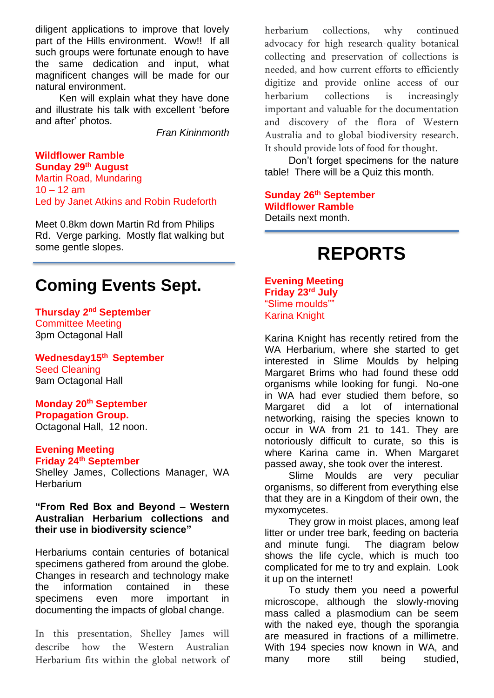diligent applications to improve that lovely part of the Hills environment. Wow!! If all such groups were fortunate enough to have the same dedication and input, what magnificent changes will be made for our natural environment.

Ken will explain what they have done and illustrate his talk with excellent 'before and after' photos.

*Fran Kininmonth*

#### **Wildflower Ramble Sunday 29th August**

Martin Road, Mundaring  $10 - 12$  am Led by Janet Atkins and Robin Rudeforth

Meet 0.8km down Martin Rd from Philips Rd. Verge parking. Mostly flat walking but some gentle slopes.

### **Coming Events Sept.**

**Thursday 2 nd September** Committee Meeting 3pm Octagonal Hall

**Wednesday15th September** Seed Cleaning 9am Octagonal Hall

**Monday 20th September Propagation Group.**  Octagonal Hall, 12 noon.

#### **Evening Meeting**

#### **Friday 24th September**

Shelley James, Collections Manager, WA **Herbarium** 

**"From Red Box and Beyond – Western Australian Herbarium collections and their use in biodiversity science"**

Herbariums contain centuries of botanical specimens gathered from around the globe. Changes in research and technology make the information contained in these specimens even more important in documenting the impacts of global change.

In this presentation, Shelley James will describe how the Western Australian Herbarium fits within the global network of herbarium collections, why continued advocacy for high research-quality botanical collecting and preservation of collections is needed, and how current efforts to efficiently digitize and provide online access of our herbarium collections is increasingly important and valuable for the documentation and discovery of the flora of Western Australia and to global biodiversity research. It should provide lots of food for thought.

Don't forget specimens for the nature table! There will be a Quiz this month.

#### **Sunday 26th September Wildflower Ramble** Details next month.

### **REPORTS**

#### **Evening Meeting Friday 23rd July** "Slime moulds"" Karina Knight

Karina Knight has recently retired from the WA Herbarium, where she started to get interested in Slime Moulds by helping Margaret Brims who had found these odd organisms while looking for fungi. No-one in WA had ever studied them before, so Margaret did a lot of international networking, raising the species known to occur in WA from 21 to 141. They are notoriously difficult to curate, so this is where Karina came in. When Margaret passed away, she took over the interest.

Slime Moulds are very peculiar organisms, so different from everything else that they are in a Kingdom of their own, the myxomycetes.

They grow in moist places, among leaf litter or under tree bark, feeding on bacteria and minute fungi. The diagram below shows the life cycle, which is much too complicated for me to try and explain. Look it up on the internet!

To study them you need a powerful microscope, although the slowly-moving mass called a plasmodium can be seem with the naked eye, though the sporangia are measured in fractions of a millimetre. With 194 species now known in WA, and many more still being studied,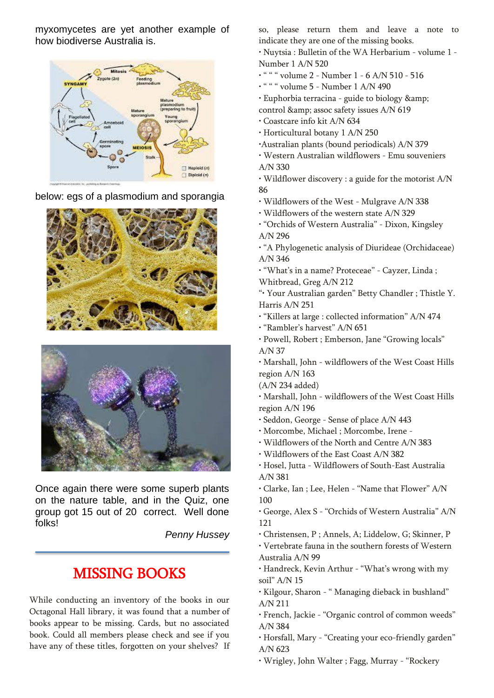myxomycetes are yet another example of how biodiverse Australia is.



below: egs of a plasmodium and sporangia





Once again there were some superb plants on the nature table, and in the Quiz, one group got 15 out of 20 correct. Well done folks!

*Penny Hussey*

### MISSING BOOKS

While conducting an inventory of the books in our Octagonal Hall library, it was found that a number of books appear to be missing. Cards, but no associated book. Could all members please check and see if you have any of these titles, forgotten on your shelves? If

so, please return them and leave a note to indicate they are one of the missing books.

• Nuytsia : Bulletin of the WA Herbarium - volume 1 - Number 1 A/N 520

- " " " volume 2 Number 1 6 A/N 510 516
- " " " volume 5 Number 1 A/N 490
- Euphorbia terracina guide to biology & control & amp; assoc safety issues A/N 619
- Coastcare info kit A/N 634
- Horticultural botany 1 A/N 250
- •Australian plants (bound periodicals) A/N 379
- Western Australian wildflowers Emu souveniers A/N 330
- Wildflower discovery : a guide for the motorist A/N 86
- Wildflowers of the West Mulgrave A/N 338
- Wildflowers of the western state A/N 329
- "Orchids of Western Australia" Dixon, Kingsley A/N 296
- "A Phylogenetic analysis of Diurideae (Orchidaceae) A/N 346
- "What's in a name? Proteceae" Cayzer, Linda ; Whitbread, Greg A/N 212
- "• Your Australian garden" Betty Chandler ; Thistle Y. Harris A/N 251
- "Killers at large : collected information" A/N 474
- "Rambler's harvest" A/N 651
- Powell, Robert ; Emberson, Jane "Growing locals" A/N 37
- Marshall, John wildflowers of the West Coast Hills region A/N 163
- (A/N 234 added)
- Marshall, John wildflowers of the West Coast Hills region A/N 196
- Seddon, George Sense of place A/N 443
- Morcombe, Michael ; Morcombe, Irene -
- Wildflowers of the North and Centre A/N 383
- Wildflowers of the East Coast A/N 382
- Hosel, Jutta Wildflowers of South-East Australia A/N 381
- Clarke, Ian ; Lee, Helen "Name that Flower" A/N 100
- George, Alex S "Orchids of Western Australia" A/N 121
- Christensen, P ; Annels, A; Liddelow, G; Skinner, P
- Vertebrate fauna in the southern forests of Western Australia A/N 99
- Handreck, Kevin Arthur "What's wrong with my soil" A/N 15
- Kilgour, Sharon " Managing dieback in bushland" A/N 211
- French, Jackie "Organic control of common weeds" A/N 384
- Horsfall, Mary "Creating your eco-friendly garden" A/N 623
- Wrigley, John Walter ; Fagg, Murray "Rockery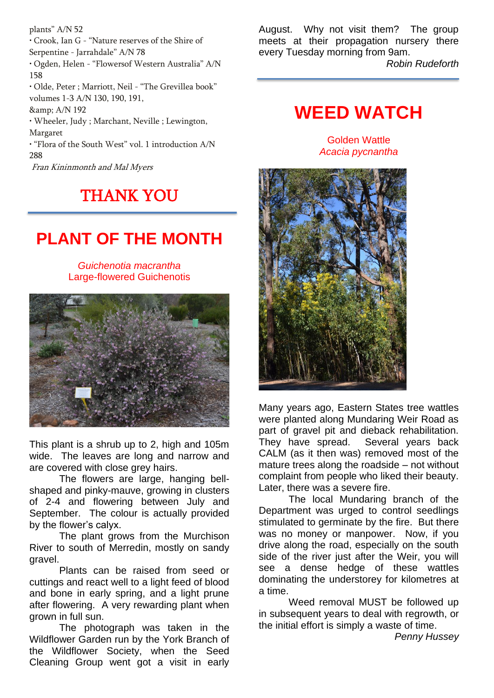plants" A/N 52

• Crook, Ian G - "Nature reserves of the Shire of Serpentine - Jarrahdale" A/N 78

• Ogden, Helen - "Flowersof Western Australia" A/N 158

• Olde, Peter ; Marriott, Neil - "The Grevillea book" volumes 1-3 A/N 130, 190, 191, & amp; A/N 192

• Wheeler, Judy ; Marchant, Neville ; Lewington, Margaret

• "Flora of the South West" vol. 1 introduction A/N 288

Fran Kininmonth and Mal Myers

### THANK YOU

# **PLANT OF THE MONTH**

*Guichenotia macrantha* Large-flowered Guichenotis



This plant is a shrub up to 2, high and 105m wide. The leaves are long and narrow and are covered with close grey hairs.

The flowers are large, hanging bellshaped and pinky-mauve, growing in clusters of 2-4 and flowering between July and September. The colour is actually provided by the flower's calyx.

The plant grows from the Murchison River to south of Merredin, mostly on sandy gravel.

Plants can be raised from seed or cuttings and react well to a light feed of blood and bone in early spring, and a light prune after flowering. A very rewarding plant when grown in full sun.

The photograph was taken in the Wildflower Garden run by the York Branch of the Wildflower Society, when the Seed Cleaning Group went got a visit in early

August. Why not visit them? The group meets at their propagation nursery there every Tuesday morning from 9am.

*Robin Rudeforth*

### **WEED WATCH**

Golden Wattle *Acacia pycnantha*



Many years ago, Eastern States tree wattles were planted along Mundaring Weir Road as part of gravel pit and dieback rehabilitation. They have spread. Several years back CALM (as it then was) removed most of the mature trees along the roadside – not without complaint from people who liked their beauty. Later, there was a severe fire.

The local Mundaring branch of the Department was urged to control seedlings stimulated to germinate by the fire. But there was no money or manpower. Now, if you drive along the road, especially on the south side of the river just after the Weir, you will see a dense hedge of these wattles dominating the understorey for kilometres at a time.

Weed removal MUST be followed up in subsequent years to deal with regrowth, or the initial effort is simply a waste of time.

*Penny Hussey*